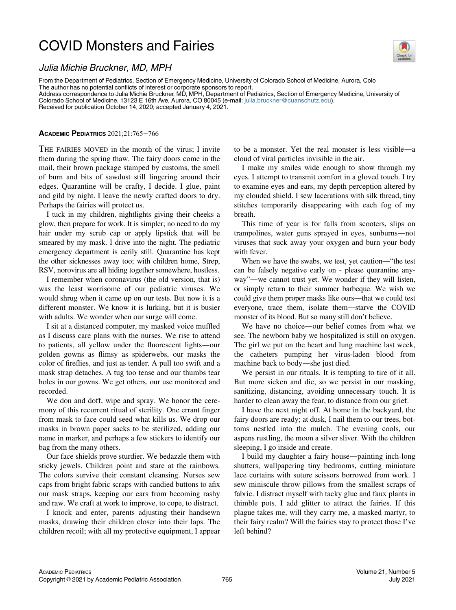## COVID Monsters and Fairies



## Julia Michie Bruckner, MD, MPH

From the Department of Pediatrics, Section of Emergency Medicine, University of Colorado School of Medicine, Aurora, Colo The author has no potential conflicts of interest or corporate sponsors to report.

Address correspondence to Julia Michie Bruckner, MD, MPH, Department of Pediatrics, Section of Emergency Medicine, University of Colorado School of Medicine, 13123 E 16th Ave, Aurora, CO 80045 (e-mail: [julia.bruckner@cuanschutz.edu\)](mailto:julia.bruckner@cuanschutz.edu).

Received for publication October 14, 2020; accepted January 4, 2021.

## ACADEMIC PEDIATRICS 2021;21:765−766

THE FAIRIES MOVED in the month of the virus; I invite them during the spring thaw. The fairy doors come in the mail, their brown package stamped by customs, the smell of burn and bits of sawdust still lingering around their edges. Quarantine will be crafty, I decide. I glue, paint and gild by night. I leave the newly crafted doors to dry. Perhaps the fairies will protect us.

I tuck in my children, nightlights giving their cheeks a glow, then prepare for work. It is simpler; no need to do my hair under my scrub cap or apply lipstick that will be smeared by my mask. I drive into the night. The pediatric emergency department is eerily still. Quarantine has kept the other sicknesses away too; with children home, Strep, RSV, norovirus are all hiding together somewhere, hostless.

I remember when coronavirus (the old version, that is) was the least worrisome of our pediatric viruses. We would shrug when it came up on our tests. But now it is a different monster. We know it is lurking, but it is busier with adults. We wonder when our surge will come.

I sit at a distanced computer, my masked voice muffled as I discuss care plans with the nurses. We rise to attend to patients, all yellow under the fluorescent lights—our golden gowns as flimsy as spiderwebs, our masks the color of fireflies, and just as tender. A pull too swift and a mask strap detaches. A tug too tense and our thumbs tear holes in our gowns. We get others, our use monitored and recorded.

We don and doff, wipe and spray. We honor the ceremony of this recurrent ritual of sterility. One errant finger from mask to face could seed what kills us. We drop our masks in brown paper sacks to be sterilized, adding our name in marker, and perhaps a few stickers to identify our bag from the many others.

Our face shields prove sturdier. We bedazzle them with sticky jewels. Children point and stare at the rainbows. The colors survive their constant cleansing. Nurses sew caps from bright fabric scraps with candied buttons to afix our mask straps, keeping our ears from becoming rashy and raw. We craft at work to improve, to cope, to distract.

I knock and enter, parents adjusting their handsewn masks, drawing their children closer into their laps. The children recoil; with all my protective equipment, I appear to be a monster. Yet the real monster is less visible—a cloud of viral particles invisible in the air.

I make my smiles wide enough to show through my eyes. I attempt to transmit comfort in a gloved touch. I try to examine eyes and ears, my depth perception altered by my clouded shield. I sew lacerations with silk thread, tiny stitches temporarily disappearing with each fog of my breath.

This time of year is for falls from scooters, slips on trampolines, water guns sprayed in eyes, sunburns—not viruses that suck away your oxygen and burn your body with fever.

When we have the swabs, we test, yet caution—"the test can be falsely negative early on - please quarantine anyway"—we cannot trust yet. We wonder if they will listen, or simply return to their summer barbeque. We wish we could give them proper masks like ours—that we could test everyone, trace them, isolate them—starve the COVID monster of its blood. But so many still don't believe.

We have no choice—our belief comes from what we see. The newborn baby we hospitalized is still on oxygen. The girl we put on the heart and lung machine last week, the catheters pumping her virus-laden blood from machine back to body—she just died.

We persist in our rituals. It is tempting to tire of it all. But more sicken and die, so we persist in our masking, sanitizing, distancing, avoiding unnecessary touch. It is harder to clean away the fear, to distance from our grief.

I have the next night off. At home in the backyard, the fairy doors are ready; at dusk, I nail them to our trees, bottoms nestled into the mulch. The evening cools, our aspens rustling, the moon a silver sliver. With the children sleeping, I go inside and create.

I build my daughter a fairy house—painting inch-long shutters, wallpapering tiny bedrooms, cutting miniature lace curtains with suture scissors borrowed from work. I sew miniscule throw pillows from the smallest scraps of fabric. I distract myself with tacky glue and faux plants in thimble pots. I add glitter to attract the fairies. If this plague takes me, will they carry me, a masked martyr, to their fairy realm? Will the fairies stay to protect those I've left behind?